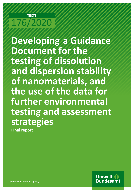# **TEXTE** 176/2020

**Developing a Guidance Document for the testing of dissolution and dispersion stability of nanomaterials, and the use of the data for further environmental testing and assessment strategies Final report** 

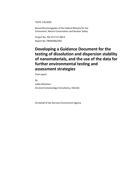TEXTE 176/2020

Ressortforschungsplan of the Federal Ministry for the Enviroment, Nature Conservation and Nuclear Safety

Project No. FKZ 3717 67 406 0 Report No. FB000386/ENG

# **Developing a Guidance Document for the testing of dissolution and dispersion stability of nanomaterials, and the use of the data for further environmental testing and assessment strategies**

Final report

by Jukka Ahtiainen Drumsö Ecotoxicology Consultancy, Helsinki

On behalf of the German Environment Agency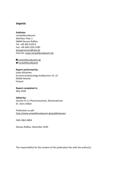## **Imprint**

#### **Publisher**

Umweltbundesamt Wörlitzer Platz 1 06844 Dessau-Roßlau Tel: +49 340-2103-0 Fax: +49 340-2103-2285 [buergerservice@uba.de](mailto:buergerservice@uba.de)  Internet: [www.umweltbundesamt.de](https://www.umweltbundesamt.de/sites/default/files/medien/1410/dokumente/www.umweltbundesamt.de)

[/umweltbundesamt.de](https://www.facebook.com/umweltbundesamt.de)  [/umweltbundesamt](https://www.twitter.com/umweltbundesamt)

#### **Report performed by:**

Jukka Ahtiainen Drumsö ecotoxicology Kuikkarinne 7A, 19 00200 Helsinki Finland

#### **Report completed in:**

May 2020

#### **Edited by:**

Section IV 2.2 Pharmaceuticals, Nanomaterials Dr. Doris Völker

#### Publication as pdf: <http://www.umweltbundesamt.de/publikationen>

ISSN 1862-4804

Dessau-Roßlau, December 2020

The responsibility for the content of this publication lies with the author(s).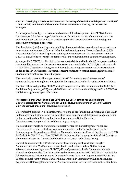In this report the background, course and content of the development of an OECD Guidance Document (GD) for the testing of dissolution and dispersion stability of nanomaterials in the environment and the use of data on these endpoints for further environmental testing and assessment strategies is presented.

The dissolution (rate) and dispersion stability of nanomaterials are considered as main drivers determining environmental fate and behavior in the environment. There is already an OECD Test Guideline (TG) 318 on dispersion stability of nanomaterials in the environment, and an OECD TG on dissolution (rate) of nanomaterials in the environment is still under development.

As no specific OECD TG for dissolution for nanomaterials is available, the GD integrates methods meaningful for nanomaterials present from science or available by OECD TG/GDs. Also regards to TG318 for dispersion stability, more information on data presentation and interpretation is added to the GD. Furthermore, important interim guidance on testing heteroagglomeration of nanomaterials in the environment is given.

The report also presents the importance of this GD for environmental assessment of nanomaterials as well as gives an insight into the regulatory implications it may have in future.

The final GD was adopted by OECD Working Group of National Co-ordinators of the OECD Test Guidelines Programme (WNT) in April 2020 and can be found at the webpages of the OECD Test Guideline Programme upon publication.

#### **Kurzbeschreibung: Entwicklung eines Leitfadens zur Untersuchung von Löslichkeit und Dispersionsstabilität von Nanomaterialien und die Nutzung der gewonnen Daten für weitere Umweltuntersuchungen und - Bewertungsstrategien**

Dieser Bericht präsentiert den Hintergrund, Ablauf und die Inhalte zur Entwicklung eines OECD Leitfadens für die Untersuchung von Löslichkeit und Dispersionsstabilität von Nanomaterialien in der Umwelt und die Nutzung der dadurch gewonnenen Daten für weitere Umweltuntersuchungen und Umweltbewertungsstrategien.

Die Löslichkeit(srate) und Dispersionsstabilität werden als die wichtigsten Treiber des Umweltverhaltens und –schicksals von Nanomaterialien in der Umwelt angesehen. Zur Bestimmung der Dispersionsstabilität von Nanomaterialien in der Umwelt liegt bereits die OECD Prüfrichtlinie (TG) 318 vor. Eine OECD Prüfrichtlinie zur Bestimmung der Löslichkeit(srate) von Nanomaterialien in der Umwelt befindet sich derzeit noch in der Entwicklung.

Da noch keine solche OECD Prüfrichtlinie zur Bestimmung der Löslichkeit(-rate) für Nanomaterialien zur Verfügung steht, wurden in den Leitfaden solche Methoden aus Wissenschaft und vorliegenden OECD TG/GDs aufgenommen, die für Nanomaterialien als sinnvoll erachtet werden. Zur Unterstützung der Anwendung der OECD TG 318 sind zusätzliche Informationen zur Präsentation und Interpretation von Daten zur Dispersionsstabilität in den Leitfaden eingebracht worden. Darüber hinaus werden im Leitfaden vorläufige Anleitungen gegeben, wie Heteroagglomeration von Nanomaterialien in der Umwelt bestimmt werden kann.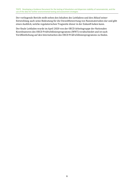Der vorliegende Bericht stellt neben den Inhalten des Leitfadens und den Ablauf seiner Entwicklung auch seine Bedeutung für die Umweltbewertung von Nanomaterialien dar und gibt einen Ausblick, welche regulatorischen Tragweite dieser in der Zukunft haben kann.

Der finale Leitfaden wurde im April 2020 von der OECD Arbeitsgruppe der Nationalen Koordinatoren des OECD Prüfrichtlinienprogramms (WNT) verabschiedet und ist nach Veröffentlichung auf den Internetseiten des OECD Prüfrichtlinienprogramms zu finden.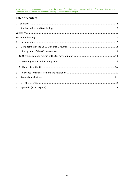# **Table of content**

| $\mathbf{1}$   |  |  |  |  |
|----------------|--|--|--|--|
| $\overline{2}$ |  |  |  |  |
|                |  |  |  |  |
|                |  |  |  |  |
|                |  |  |  |  |
|                |  |  |  |  |
| 3              |  |  |  |  |
| 4              |  |  |  |  |
| 5              |  |  |  |  |
| A              |  |  |  |  |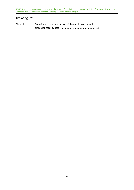# <span id="page-7-0"></span>**List of figures**

| Figure 1: | Overview of a testing strategy building on dissolution and |  |
|-----------|------------------------------------------------------------|--|
|           |                                                            |  |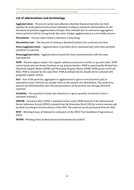# <span id="page-8-0"></span>**List of abbreviations and terminology**

**Agglomeration** – Process of contact and adhesion whereby dispersed particles are held together by weak physical interactions ultimately leading to enhanced sedimentation by the formation of particles (agglomerates) of larger than colloidal size. In contrast to aggregation where particles held by strong bonds like sinter bridges, agglomeration is a reversible process.

**Dissolution** – Process under which a substance is dissolving.

**Dissolution rate** – The amount of substance dissolved (solute) into a solvent over time.

**Heteroagglomeration** – Agglomeration of particles (here nanomaterials) with other particles (synthetic or natural).

**Homoagglomeration** – Agglomeration of particles (here nanomaterials) with the same nanomaterial.

**NOM** – Natural organic matter: the organic substances present in surface or ground water. NOM covers humic and non-humic fractions as e.g. polysaccharides. NOM is operationally divided into Dissolved Organic Matter (DOM) and Particulate Organic Matter (POM). DOM passes a 0.45 µm filter, POM is retained by the same filter. POM as defined herein should not be confused with purgeable organic carbon.

**Size** – Size of the particles, aggregates or agglomerates is given in micrometres (μm) or nanometres (nm). Particle size usually refers to the particle size distribution. The method for particle size determination and relevant parameters of the particle size average should be reported.

**Solubility** - The quantity of solute that dissolves in a given quantity of solvent to form a saturated solution.).

**SRNOM** – Suwannee River NOM: a standard surface water NOM material of the International Humic Substance Society (IHSS), isolated from the Suwannee River (US) by reverse osmosis and purified according to the procedures of the IHSS. The material can be purchased from the IHSS.

**WNT** - Working Group of National Co-ordinators of the OECD Test Guidelines Programme at **OECD** 

**WPMN** - Working Party on Manufactured Nanomaterials at OECD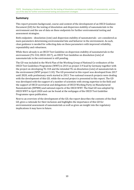# <span id="page-9-0"></span>**Summary**

This report presents background, course and content of the development of an OECD Guidance Document (GD) for the testing of dissolution and dispersion stability of nanomaterials in the environment and the use of data on these endpoints for further environmental testing and assessment strategies.

Both endpoints - dissolution (rate) and dispersion stability of nanomaterials - are considered as main parameters determining environmental fate and behavior in the environment. As such, clear guidance is needed for collecting data on these parameters with improved reliability, repeatability and robustness.

While there already is an OECD Test Guideline on dispersion stability of nanomaterials in the environment (TG 318, OECD 2017), an OECD Test Guideline on dissolution (rate) of nanomaterials in the environment is still pending.

The GD was included in the Work Plan of the Working Group of National Co-ordinators of the OECD Test Guidelines Programme (WNT) in 2014 as project 3.9 lead by Germany together with the project on developing TG 318 and the intended TG on dissolution (rate) of nanomaterials in the environment (WNT project 3.10). The GD presented in this report was developed from 2017 until 2020, with preliminary work started in 2013. Two national research projects were dealing with the development of this GD, while the second project is presented in this report. The GD was developed with the support of a number of scientists with strong expertise in the field and the support of OECD secretariat and delegations of OECD Working Party on Manufactured Nanomaterials (WPMN) and national experts of the OECD WNT. The final GD was adopted by OECD WNT in April 2020 and can be found at the webpages of the OECD Test Guideline Programme upon publication.

Next to an overview of the development of the GD, the report describes the contents of the final GD, gives a rationale for their inclusion and highlights the importance of this GD for environmental assessment of nanomaterials as well as gives an insight into the regulatory implications it may have in future.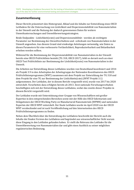# <span id="page-10-0"></span>**Zusammenfassung**

Dieser Bericht präsentiert den Hintergrund, Ablauf und die Inhalte zur Entwicklung eines OECD Leitfadens für die Untersuchung von Löslichkeit und Dispersionsstabilität von Nanomaterialien in der Umwelt und die Nutzung der dadurch gewonnenen Daten für weitere Umweltuntersuchungen und Umweltbewertungsstrategien.

Beide Endpunkte - Löslichkeit(srate) und Dispersionsstabilität - werden als wichtigste Parameter zur Bestimmung des Umweltverhaltens und –schicksals von Nanomaterialien in der Umwelt angesehen. Aus diesem Grund sind eindeutige Anleitungen notwendig, wie Daten zu diesen Parametern für eine verbesserte Verlässlichkeit, Reproduzierbarkeit und Belastbarkeit erhoben werden sollten.

Während für die Bestimmung der Dispersionstabilität von Nanomaterialien in der Umwelt bereits eine OECD Prüfrichtlinie besteht (TG 318, OECD 2017), fehlt es derzeit noch an einer OECD Test Prüfrichtlinie zur Bestimmung der Löslichkeit(srate) von Nanomaterialien in der Umwelt.

Die Arbeiten zur Entwicklung dieses Leitfadens wurden von Deutschland koordiniert und 2014 als Projekt 3.9 in den Arbeitsplan der Arbeitsgruppe der Nationalen Koordinatoren des OECD Prüfrichtlinienprogramms (WNT) zusammen mit dem Projekt zur Entwicklung der TG 318 und dem Projekt für eine TG zur Bestimmung der Löslichkeits(rate) (WNT Projekt 3.1) aufgenommen. Der Leitfaden, der in diesem Bericht vorgestellt wird, wurde von 2017 bis 2020 entwickelt. Vorarbeiten dazu erfolgten bereits ab 2013. Zwei nationale Forschungsvorhaben beschäftigten sich mit der Entwicklung dieses Leitfadens, wobei das zweite dieser Projekte in diesem Bericht vorgestellt wird.

Der Leitfaden wurde mit Unterstützung einer Gruppe von Wissenschaftlern mit großer Expertise in den entsprechenden Bereichen sowie mit der Hilfe des OECD Sekretariats und Delegationen der OECD Working Party on Manufactured Nanomaterials (WPMN) und nationalen Experten der OECD WNT entwickelt. Der finale Leitfaden wurde im April 2020 von der OECD WNT verabschiedet und ist nach Veröffentlichung auf den Internetseiten des OECD Prüfrichtlinienprogramms zu finden.

Neben dem Überblick über die Entwicklung des Leitfadens beschreibt der Bericht auch die Inhalte der finalen Version des Leitfadens und begründet aus wissenschaftlicher Sicht warum diese Eingang in den Leitfaden gefunden haben. Er stellt die Relevanz des Leitfades für die Umweltbewertung von Nanomaterialien dar und gibt einen Ausblick zu seiner möglichen regulatorischen Bedeutung.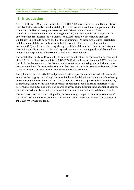# <span id="page-11-0"></span>**1 Introduction**

At the OECD Expert Meeting in Berlin 2013 (OECD 2014a), it was discussed and then identified that dissolution rate and dispersion stability in the environment are important parameters for nanomaterials. Hence, these parameters are main drivers in environmental fate of nanomaterials and nanomaterial`s including their (bio)availability, and as such important in environmental risk assessment of nanomaterials. At the time it was concluded that Test Guidelines (TGs) should be developed for these parameters. As these two features (dissolution and dispersion stability) are often interlinked it was noted that an overarching guidance document (GD) would be useful to explain e.g. the pitfalls of the methods, interaction between dissolution and dispersion stability, and to give broader understanding to all available methods and for the interpretation of the results gained with these methods.

The first draft of Guidance Document (GD) was developed within the course of the development of the TG 318 on dispersion stability (OECD 2017) (Kozin and von der Kammer, 2017). Based on this draft, the development of the GD was continued within a research project which outcomes are presented here. This report describes the objectives, organization, course and content of GD as well as outlines the relevance for environmental risk assessment.

The guidance collected in the GD and presented in this report is relevant for solids in nanoscale as well as their aggregates and agglomerates. It follows the definition of nanomaterials as having one dimension between 1 and 100 nm. The GD aims to serve as a support tool for both the TGs, to provide guidance on the influence of various experimental conditions and materials on the performance and outcomes of the TGs, as well to advice on modifications and additions based on specific research questions and gives support for the expression and interpretation of results.

The final version of the GD was adopted by OECD Working Group of National Co-ordinators of the OECD Test Guidelines Programme (WNT) in April 2020 and can be found at the webpage of the OECD WNT when available.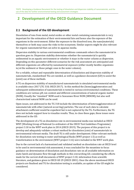# <span id="page-12-0"></span>**2 Development of the OECD Guidance Document**

# <span id="page-12-1"></span>**2.1 Background of the GD development**

Dissolution of ions from metal, metal oxides or other metal containing nanomaterials is very important for the estimation of their environmental fate and hence also the exposure of the organisms in the environment. Either the exposure to the dissolved ions, the nano(materials) themselves or both may cause the risks to the ecosystem. Similar aspects might be also relevant for organic nanomaterial that can solve in aqueous media.

Dispersion stability in various environmental conditions commands where the nanomaterial in question goes to. Dispersion stability determines whether the nanomaterial is quickly sedimented in an aquatic environment or whether it stays in the water column as dispersion. Depending on this parameter different scenarios for the risk assessment are anticipated and different organisms are affected by nanomaterial exposure (either mostly benthic organisms in/at the sediment or those pelagic ones in the water column).

For a reliable, robust and repeatable determination of dissolution and dispersion stability of nanomaterials, standardised TGs are needed, as well as a guidance document (GD) to assist the (joint) use of these methods.

A TG on dispersion stability of manufactured nanomaterials in simulated environmental media is available since 2017 (TG 318, OECD 2017). In this method the (homo)agglomeration and subsequent sedimentation of nanomaterials is tested in various environmental conditions. These conditions are various pH, ion content and different concentrations of natural organic matter (NOM). Usually the "standard" NOM used is Suwannee River NOM (SRNOM), but also well characterized natural NOM can be used.

Open issues, not addressed in the TG 318 include the determination of heteroagglomeration of nanomaterials with other (natural occurring) particles. The use of such data to calculate attachment coefficient would be expedient but is not captured by the TG. Furthermore, the TG does not include support how to visualize results. Thus, to close these gaps, these issues were addressed in the GD.

The development of a TG on dissolution rate in environmental media was included as OECD WNT (Working Group of National Co-ordinators of the OECD Test Guidelines Programme) project 3.10 in the WNT work plan in 2014 (OECD 2019). The purpose of this project is to develop and adequately validate a robust method for dissolution (rate) of nanomaterials in environmental relevant media. The draft TG is still under development. Other relevant methods for dissolution rate testing in water and biological fluids (WNT project 1.5) as well as transformation in the environment (WNT project 3.16) were included in the WNT work plan.

Due to the current lack of a harmonised and validated method on dissolution rate at OECD level to be used in environmental risk assessment, it was concluded for the meantime to focus guidance on determination of dissolution and dissolution rate on all available information on static batch and dynamic flow through methods in this overarching GD, considering the efforts made for the current draft documents of WNT project 3.10, information from scientific literature, and guidance given in OECD GD 29 (OECD 2001). Once the above mentioned OECD projects are finalised and TG for dissolution testing is available, an update of the GD might be considered.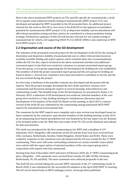Next to the above mentioned WNT projects on TGs and GDs specific for nanomaterials, a draft GD on aquatic (and sediment) toxicity testing of nanomaterials (WNT project 2.51) was developed and adopted by WNT in parallel to the GD presented here. An additional project relevant for the work on this GD or vice versa is the draft GD on the apparent accumulation potential for nanomaterials (WNT project 3.12) as dispersion stability and ion dissolution will affect bioaccumulation testing and thus, need to be considered in a bioaccumulation testing strategy. Furthermore, guidance of this GD will become relevant for soil column testing of nanomaterials for which a GD supporting OECD TG 312 (OECD 2004) is also underway at WNT level (WNT project 3.14).

# **2.2 Organization and course of the GD development**

The intention of the presented research project for the development of the GD for the testing of dissolution and dispersion stability of nanomaterials was to collect relevant data based on available scientific finding and expert opinion and to translate them into recommendations within the GD. For this, experts involved in the above mentioned activities and additional renowned expert in the field were invited to volunteer in a project associated expert group. From this group, a core group supporting the GD development by drafting text was established. The members of both the project associated expert group and the core group for drafting are listed in Annex 1. Several new volunteers have been interested to contribute to the GD, and the list was evolved during the project.

In a first step, a backbone of the possible contents was developed and discussed with the experts. Then the project manager developed the first drafts and these versions were commented and discussed among the experts in several meetings, teleconferences and commenting rounds. The detailed steps of the GD development are presented in Annex 2. In February 2019, a milestone of GD development was achieved. Selected members of the core group were invited to a 2-day drafting meeting for simultaneous discussion and text development of all chapters of the draft GD. Based on this meeting, in April 2019, a mature version of the draft GD was submitted for the commenting among nominated OECD WNT experts for nanomaterial environmental fate.

The comments by the WNT experts were compiled, and a new version was developed based on these comments by the contractor, and selected members of the drafting meeting. In July 2019, an accompanying Excel based spreadsheet tool was finalized by the key expert van der Kammer to be included aside to the GD. With this tool results of the TG 318 can be tabulated and utilized for data presentation.

This draft was introduced for the first commenting to the WNT with a deadline of 19th September 2019. Altogether 188 comments on the GD and the Excel tool were received from Chile, Germany, Netherlands, Sweden, United Kingdom, United States and ECHA. These were compiled, responses to the comments were developed and the GD was revised for the  $2<sup>nd</sup> WNT$ commenting. There were still some outstanding comments on certain scientific issues which were solved with the expert advice of selected members of the core expert group and in cooperation with experts who had commented.

Starting from End of December 2019 until start of February 2020, the 2nd WNT commenting took place. Altogether ~250 comments were received from Canada, EC (JRC, ECHA), Germany, Netherlands, US, UK and BIAC. The most comments were editorial proposals to the text.

The draft GD was revised taking into account WNT comments of the  $2<sup>nd</sup>$  commenting round. In March 2020, it was submitted for the successful GD adoption at the April 2020 WNT 32 meeting. The GD can be found freely at OECD webpages (www. oecd.org) when published.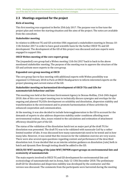# **2.3 Meetings organized for the project**

## **Kick-of meeting**

This first meeting was organized in Berlin 25th July 2017. The purpose was to fine tune the project plan and review the starting situation and the aims of the project. The notes are available from the consultant.

## **Stakeholder meeting**

In relation to different TG and GD activities UBA organized a stakeholders meeting in Dessau 10- 11th October 2017 in order to have good scientific basis for the further OECD TG and GD development. The development of the GD of this project was discussed and new experts were engaged to support this.

## **OECD Webex meeting of the core expert group**

The (expanded) core group had a Webex meeting 11th Oct 2017 back to back to the above mentioned stakeholder meeting. The purpose of the meeting was to approve the structure of the GD and activate more experts to the core group.

## **Expanded core group meeting at OECD**

The core group face to face meeting with additional experts with Webex possibility was organized 12 February 2018 in Paris at OECD Headquarters to inform interested experts on the project planning and current status of the GD.

#### **Stakeholder meeting on harmonized development of OECD TGs and GDs for nanomaterials behaviour and fate**

This meeting was held at the German Environment Agency in Dessau-Roßlau, 23rd-24th August 2018. Aim of this core expert meeting was to technically discuss synergies and overlaps for the ongoing and planned TG/GDs development on solubility and dissolution, dispersion stability and transformation in the environment and to promote harmonisation of these activities by enhanced cooperation and communication.

At the meeting, it was also decided to include heteroagglomeration to the GD to account for the demands of experts to also address dispersion stability under conditions affording more environmental realism. Also, issues related to the calculations and estimation of attachment efficiency should be part of the GD.

The status of the validation of the dissolution batch test as major part pf the draft TG for dissolution was presented. The draft TG was to be validated with nanoscale CuO by a rather limited number of labs. It was discussed how many nanomaterials need to be tested and in how many labs. However, it was noted that the resources for the validation exercise are very scarce. There were also several open questions regarding content and performance of the described dissolution test. It was decided that as an interim solution guidance on dissolution (rate) both in batch and dynamic flow through testing should be added to the GD.

#### **OECD/EU WNT meeting of the joint WNT/WPNM expert groups on environmental fate and ecotoxicity of nanomaterials**

The main experts involved in OECD TG and GD development for environmental fate and ecotoxicology of nanomaterials met in Arona, Italy 12-13th December 2018. The preliminary draft GD for dissolution and dispersion stability was developed by the contractor and this version was discussed. The comments from the participants were harvested during the meeting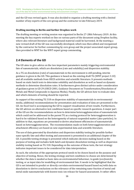and the GD was revised again. It was also decided to organize a drafting meeting with a limited number of key experts of the core group and the contractor in late February 2019.

#### **Drafting meeting in Berlin and further Dropbox work**

The drafting meeting or writing session was organized in Berlin 27-28th February 2019. At this meeting the key experts worked on-line on various parts of the document using Dropbox facility, where also relevant literature and background material could be harvested. At the meeting a new revised draft of the GD was successfully developed, which was then edited and reorganized by the contractor for further commenting by core group and the project associated expert group, then provided to WNT for the WNT expert group commenting.

# **2.4 Elements of the GD**

The GD aims to give advice on the two important parameters mainly triggering environmental fate of nanomaterials, which are dissolution (rate and solubility) and dispersion stability.

As a TG on dissolution (rate) of nanomaterials in the environment is still pending, interim guidance is given in the GD. This guidance is based on the existing draft TG (WNT project 3.10) and all available methods from OECD activities and scientific literature. It presents methods based on static batch tests to determine solubility and dissolution as well as based on dynamic methods to determine dissolution rates. It furthermore gives distinct advice under consideration of guidance given in GD 29 (OECD 2001, Guidance Document on Transformation/Dissolution of Metals and Metal Compounds in Aqueous Media). Finally, the GD advices how to evaluate data and which elements of testing should be reported.

As support of the existing TG 318 on dispersion stability of nanomaterials in environmental media, additional recommendations for presentation and evaluation of data are presented in the GD. An Excel tool is accompanying the GD to support visualisation of test results. Furthermore, the GD advices on alternative test conditions based on specific research questions. A major part of the GD are the recommendations on how to determine heteroagglomeration of nanomaterials which could not be addressed in the parent TG as a testing protocol for heteroagglomeration is hard to be validated based on the heterogeneity of natural suspended matter (also particles). In addition to that, equations are presented to derive attachment efficiencies of nanomaterials based on heteroagglomeration. The recommendation made on both heteroagglomeration and attachment efficiency are based on new experimental data and scientific literature.

The use of data generated by dissolution and dispersion stability testing for possible further nano-specific fate and effect testing and assessment is presented in an additional chapter of the GD. A possible testing strategy is presented which indicates decision making based on the purpose of testing and includes both batch and dynamic dissolution testing as well as dispersion stability testing based on TG 318. Depending on the outcome of these tests, the test strategy indicates important issues to be considered for data interpretation.

As such, the selection of the appropriate protocol needs to be chosen based on the purpose and objective of testing. Hence, the testing strategy and test conditions to choose are determined by whether the data is needed as basic data on environmental behaviour, to guide (eco)toxicity testing, or as input data for modelling of environmental fate. It needs to be highlighted that the GD is not intended to predict or directly correlate environmental hazard based on/with data on dissolution to derive conclusions on the relevance of the remaining nano-fraction of metal and metal oxide nanomaterials with known toxic ion release for hazard assessment. It rather offers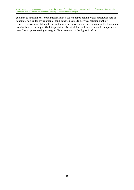<span id="page-16-0"></span>guidance to determine essential information on the endpoints solubility and dissolution rate of nanomaterials under environmental conditions to be able to derive conclusion on their respective environmental fate to be used in exposure assessment. However, naturally, these data can also be used to support the interpretation of ecotoxicity results determined in independent tests. The proposed testing strategy of GD is presented in the Figure 1 below.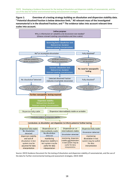**Figure 1: Overview of a testing strategy building on dissolution and dispersion stability data. # Potential dissolved fraction is below detection limit; ‡ All relevant mass of the investigated nanomaterial is in the dissolved fraction; and \* The evidence takes into account relevant time scales into account.** 



Source: OECD Guidance Document for the testing of dissolution and dispersion stability of nanomaterials, and the use of the data for further environmental testing and assessment strategies, OECD 2020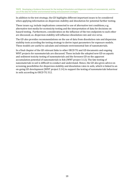In addition to the test strategy, the GD highlights different important issues to be considered when applying information on dispersion stability and dissolution for potential further testing.

These issues e.g. include implications connected to use of alternative test conditions, e.g. alternative test media for ecotoxicity testing and the interpretation of data for decisions on hazard testing. Furthermore, consideration on the influence of the two endpoints to each other are discussed, as. dispersion stability will influence dissolution rate and *vice versa.*

The GD also provides recommendations on the use of data from dissolution rate and dispersion stability tests according the testing strategy to derive input parameters for exposure models. These models are useful to calculate and estimate environmental fate of nanomaterials.

In a final chapter of the GD relevant links to other OECD TG and GD documents and ongoing WNT projects for nanomaterials are discussed. These include the adopted new GD on aquatic and sediment toxicity testing of nanomaterials and the foreseen GD on the apparent accumulation potential of nanomaterials in fish (WNT project 3.12). The fate testing of nanomaterials in soil is difficult to conduct and understand. Hence, the GD also gives advice on screening possibilities for dispersion stability and dissolution rates in soils, which is linked to an on-going GD development (WNT project 3.14) to support the testing of nanomaterials behaviour in soils according to OECD TG 312.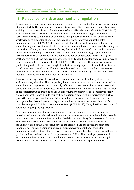# <span id="page-19-0"></span>**3 Relevance for risk assessment and regulation**

Dissolution (rate) and dispersion stability are relevant triggers needed for the safety assessment of nanomaterials. The information requirements for solubility, dissolution rate and dispersion stability of nanomaterials exist already in some chemical legislations such as REACH (EU 2018). As mentioned above these measurement variables are also relevant triggers for further assessment strategies, but may also contribute to regulatory decisions. Based on the current worldwide development in chemicals regulations towards improved applicability for nanomaterials (e.g. US EPA, 2016), it is noted that other chemicals legislations will meet the same challenges all over the world. Given the numerous manufactured nanomaterials already on the market and many more expected in future, the individual testing of hazard and assessment of the risk would be in practise impossible. To overcome this challenge, grouping and readacross approaches of nanomaterials has been identified as one possible tool by OECD (OECD 2016). Grouping and read-across approaches are already established for chemical substances to meet regulatory data requirements (OECD 2007, 2014b). The aim of these approaches is to predict the physico-chemical, toxicological, and fate-related properties of chemical substances based on structural similarities. If adequate evidence of the structural similarity between two chemical forms is found, then it can be possible to transfer available e.g. (eco)toxicological or fate data from one chemical substance to another one.

However, grouping and read-across based on molecular structural similarity alone is not sufficient for any chemical. This is especially important for nanomaterials, as nanoforms of the same chemical composition can have totally different physico-chemical features, e.g. size and shape, and can then show differences in effects and behaviour. To allow an adequate assessment of nanomaterials using grouping and read-across further parameters are necessary to justify such an approach. Hence, beside chemical composition, parameters like morphology, surface properties, and shape as well as reactivity including coatings and functionalizing, but also fate descriptors like dissolution rate or dispersion stability in relevant media are discussed for consideration (e.g. ECHA Guidance Appendix R-6-1 (ECHA 2019)). Thus, the GD is also of special relevance for grouping approaches.

As dissolution (rate) and dispersion stability are relevant parameters triggering fate and behaviour of nanomaterials in the environment, these measurement variables will also provide input data for environmental fate modelling. Models are available e.g. by Meesters el al. 2019. Especially the dissolution rate of nanomaterials is essential in environmental exposure modelling. It enables the distinction between the dissolved and the particulate form of the nanomaterial. This distinction is included in current environmental fate models for nanomaterials, where dissolution is a process by which nanomaterials are transformed from the particulate form to the dissolved form (Meesters et al. 2019). This is an input parameter in environmental fate models to calculate the predicted exposure concentration. Assuming first order kinetics, the dissolution rate constant can be calculated from experimental data.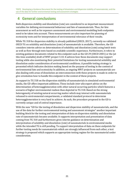# **4 General conclusions**

Both dispersion stability and dissolution (rate) are considered to as important measurement variables for defining environmental behaviour and fate of nanomaterials. Thus, for fate assessment as well as for exposure assessment and environmental modelling both endpoints need to be taken into account. These measurements are also important for planning of ecotoxicity tests and for interpretation of environmental relevance of their results.

While TG 318 for dispersion stability is already published (OECD, 2017), currently no validated OECD TG on solubility and dissolution (rate) of nanomaterials is available. Therefore, the GD considers interim advice on determination of solubility and dissolution (rate) using batch tests as well as flow through tests based on available scientific experience. Furthermore, it refers to existing guidance documents related to this endpoint such as the GD 29 (OECD 2001) or the (at this time available) draft of WNT project 3.10. It advices how these documents may support testing while also mentioning their potential limitations for testing nanomaterial solubility and dissolution under consideration of environmental conditions. A possible testing strategy is presented which indicates decision making based on the purpose of testing in the context of environmental fate and ecotoxicity In addition, as ongoing WNT projects on nanomaterials are also dealing with areas of dissolution an interconnection with these projects is made in order to give orientation how to handle this endpoint in the context of these projects.

As support to TG 318 on the dispersion stability of nanomaterials in simulated environmental media, the GD offers important additions. These include *inter alia* expert advice on the determination of heteroagglomeration with other natural occurring particles which features a scenario of higher environmental realism than depicted in TG 318. Based on the strong heterogeneity of existing natural occurring matter which may interact with nanomaterials released to environmental compartments, a validated standard protocol to determine heteroagglomeration is very hard to achieve. As such, the procedure proposed in the GD is currently unique and of central importance.

With the new "GD for the testing of dissolution and dispersion stability of nanomaterials, and the use of the data for further environmental testing and assessment strategies" another important building block for the testing and interpretation of data on dispersion stability and dissolution rate of nanomaterials became available. It supports interpretation and presentation of data coming from TG 318 and furthermore gives interim guidance on determination and interpretation of solubility and dissolution (rate) of nanomaterials in environmental media while the intended TG is still pending. To support interpretation of data on these endpoints for further testing needs for nanomaterials which are strongly influenced from each other, a test strategy is proposed which supports an appropriate testing regime for the nanomaterial under consideration.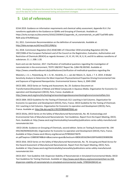# <span id="page-21-0"></span>**5 List of references**

ECHA 2019. Guidance on information requirements and chemical safety assessment, Appendix R.6-1 for nanoforms applicable to the Guidance on QSARs and Grouping of Chemicals. Available at: https://echa.europa.eu/documents/10162/23036412/appendix\_r6\_nanomaterials\_en.pdf/71ad76f0-ab4cfb04-acba-074cf045eaaa

EU, 2011. Commission Recommendation on the definition of nanomaterials. Available at: <http://data.europa.eu/eli/reco/2011/696/oj>

EU, 2018. Commission Regulation (EU) 2018/1881 of 3 December 2018 amending Regulation (EC) No 1907/2006 of the European Parliament and of the Council on the Registration, Evaluation, Authorisation and Restriction of Chemicals (REACH) as regards Annexes I, III, VI, VII, VIII, IX, X, XI, and XII to address nanoforms of substances. O. J. L 308: 1-20.

Kozin and von der Kammer, 2017. Clarification of methodical questions regarding the investigation of nanomaterials in the environment, TEXTE 108/2017 Report No. (UBA-FB) 002582. Available at: <https://www.umweltbundesamt.de/publikationen/clarification-of-methodical-questions-regarding-the>

Meesters, J. A. J., Peijnenburg, W. J. G. M., Hendriks, A. J., van der Meent, D., Quik, J. T. K. 2019. A Model Sensitivity Analysis to Determine the Most Important Physicochemical Properties Driving Environmental Fate and Exposure of Engineered Nanoparticles. Environmental Science: Nano, 6, 2049-2060

OECD 2001. OECD Series on Testing and Assessment, No. 29. Guidance Document on Transformation/Dissolution of Metals and Metal Compounds in Aqueous Media. Organisation for Economic Cooperation and Development (OECD), Paris, France. Available at: <http://www.oecd.org/env/ehs/testing/seriesontestingandassessmenttestingforenvironmentalfate.htm>

OECD 2004. OECD Guideline for the Testing of Chemicals 312: Leaching in Soil Columns. Organisation for Economic Co-operation and Development (OECD), Paris, France. OECD Guideline for the Testing of Chemicals 312: Leaching in Soil Columns. Organisation for Economic Co-operation and Development (OECD), Paris, France. Available at:<http://dx.doi.org/10.1787/9789264070561-en>

OECD 2014a. OECD Series on the Safety of Manufactured Nanomaterials, No. 40. Ecotoxicology and Environmental Fate of Manufactured Nanomaterials: Test Guidelines. Report from the Expert Meeting, OECD, Paris. Available at: http://www.oecd.org/chemicalsafety/nanosafety/publications-series-safety-manufacturednanomaterials.htm

 OECD 2014b. Guidance on Grouping of Chemicals, second edition. Series on Testing & Assessment No. 194 ENV/JM/MONO(2014)4, Organisation for Economic Co-operation and Development (OECD), Paris, France. Available at https://www.oecd-ilibrary.org/docserver/9789264274679 en.pdf?expires=1588938748&id=id&accname=guest&checksum=08D61855629641D0FF6A90CE9DB9E096

OECD 2016. OECD Series on the Safety of Manufactured Nanomaterials, No. 76. Grouping and Read-Across for the Hazard Assessment of Manufactured Nanomaterials. Report from the Expert Meeting, OECD, Paris. Available at: http://www.oecd.org/chemicalsafety/nanosafety/publications-series-safety-manufacturednanomaterials.htm

OECD 2017. Test Guideline 318: Dispersion Stability of Nanomaterials in Simulated Environmental Media. OECD Test Guidelines for Testing Chemicals. Available at: [http://www.oecd-ilibrary.org/environment/test-no-318](http://www.oecd-ilibrary.org/environment/test-no-318-dispersion-stability-of-nanomaterials-in-simulated-environmental-media_9789264284142-en) [dispersion-stability-of-nanomaterials-in-simulated-environmental-media\\_9789264284142-en](http://www.oecd-ilibrary.org/environment/test-no-318-dispersion-stability-of-nanomaterials-in-simulated-environmental-media_9789264284142-en)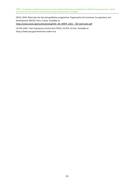OECD, 2019. Work plan for the test guidelines programme. Organisation for Economic Co-operation and Development (OECD), Paris, France. Available at: https://www.oecd.org/env/ehs/testing/ENV\_JM\_WRPR\_2019\_\_TGP-work-plan.pdf

US EPA 2016. Toxic Substances Control Act (TSCA), US EPA, US Gov. Available at: https://www.epa.gov/chemicals-under-tsca